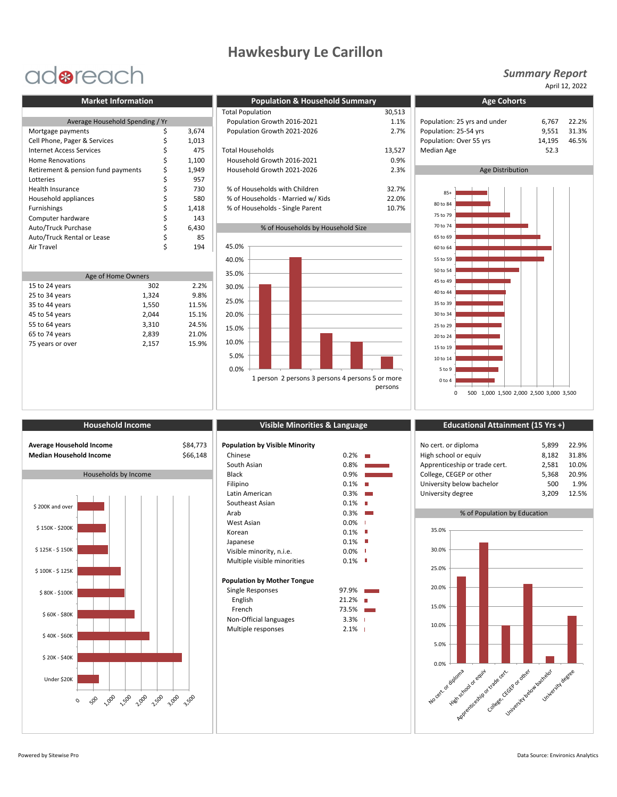## **Hawkesbury Le Carillon**

## adoreach

| 6.767            |
|------------------|
| 9,551            |
| 14,195           |
| 52.3             |
|                  |
| Age Distribution |
|                  |
|                  |
|                  |
|                  |
|                  |
|                  |
|                  |
|                  |
|                  |

| Age of Home Owners |       |       |  |  |  |
|--------------------|-------|-------|--|--|--|
| 15 to 24 years     | 302   | 2.2%  |  |  |  |
| 25 to 34 years     | 1,324 | 9.8%  |  |  |  |
| 35 to 44 years     | 1,550 | 11.5% |  |  |  |
| 45 to 54 years     | 2,044 | 15.1% |  |  |  |
| 55 to 64 years     | 3,310 | 24.5% |  |  |  |
| 65 to 74 years     | 2,839 | 21.0% |  |  |  |
| 75 years or over   | 2,157 | 15.9% |  |  |  |
|                    |       |       |  |  |  |

٦

| <b>Market Information</b>          |  |       | <b>Population &amp; Household Summary</b> | <b>Age Cohorts</b> |                              |        |
|------------------------------------|--|-------|-------------------------------------------|--------------------|------------------------------|--------|
|                                    |  |       | <b>Total Population</b>                   | 30,513             |                              |        |
| Average Household Spending / Yr    |  |       | Population Growth 2016-2021               | 1.1%               | Population: 25 yrs and under | 6.767  |
| Mortgage payments                  |  | 3,674 | Population Growth 2021-2026               | 2.7%               | Population: 25-54 yrs        | 9,551  |
| Cell Phone, Pager & Services       |  | 1,013 |                                           |                    | Population: Over 55 yrs      | 14,195 |
| <b>Internet Access Services</b>    |  | 475   | <b>Total Households</b>                   | 13,527             | <b>Median Age</b>            | 52.3   |
| Home Renovations                   |  | 1,100 | Household Growth 2016-2021                | 0.9%               |                              |        |
| Retirement & pension fund payments |  | 1,949 | Household Growth 2021-2026                | 2.3%               | Age Distribution             |        |
| Lotteries                          |  | 957   |                                           |                    |                              |        |
| <b>Health Insurance</b>            |  | 730   | % of Households with Children             | 32.7%              | $85+$                        |        |
| Household appliances               |  | 580   | % of Households - Married w/ Kids         | 22.0%              |                              |        |
| <b>Furnishings</b>                 |  | 1,418 | % of Households - Single Parent           | 10.7%              | 80 to 84                     |        |
| Computer hardware                  |  | 143   |                                           |                    | 75 to 79                     |        |

### % of Households by Household Size



### *Summary Report*

April 12, 2022



| <b>Average Household Income</b><br><b>Median Household Income</b> | ŝ٤<br>Śθ |
|-------------------------------------------------------------------|----------|
| Households by Income                                              |          |
|                                                                   |          |



|  | Visible Minorities & Language |  |  |  |
|--|-------------------------------|--|--|--|
|  |                               |  |  |  |

| Average Household Income | \$84,773 | <b>Population by Visible Minority</b> |           |                     | No cert. or diploma           |                              | 22.9%<br>5,899 |
|--------------------------|----------|---------------------------------------|-----------|---------------------|-------------------------------|------------------------------|----------------|
| Median Household Income  | \$66,148 | Chinese                               | $0.2\%$   |                     | High school or equiv          |                              | 8,182<br>31.8% |
|                          |          | South Asian                           | 0.8%      |                     | Apprenticeship or trade cert. |                              | 10.0%<br>2,581 |
| Households by Income     |          | <b>Black</b>                          | 0.9%      |                     | College, CEGEP or other       |                              | 5,368<br>20.9% |
|                          |          | Filipino                              | $0.1\%$   |                     | University below bachelor     |                              | 1.9%<br>500    |
|                          |          | Latin American                        | 0.3%      | <b>Contract</b>     | University degree             |                              | 12.5%<br>3,209 |
| \$200K and over          |          | Southeast Asian                       | $0.1\%$   |                     |                               |                              |                |
|                          |          | Arab                                  | 0.3%      | <b>The Contract</b> |                               | % of Population by Education |                |
|                          |          | West Asian                            | $0.0\%$   |                     |                               |                              |                |
| \$150K - \$200K          |          | Korean                                | $0.1\%$   |                     | 35.0%                         |                              |                |
|                          |          | Japanese                              | $0.1\%$   |                     |                               |                              |                |
| \$125K - \$150K          |          | Visible minority, n.i.e.              | $0.0\%$ I |                     | 30.0%                         |                              |                |
|                          |          | Multiple visible minorities           | $0.1\%$   |                     |                               |                              |                |
| \$100K - \$125K          |          |                                       |           |                     | 25.0%                         |                              |                |
|                          |          | <b>Population by Mother Tongue</b>    |           |                     |                               |                              |                |
| \$80K - \$100K           |          | Single Responses                      | 97.9%     |                     | 20.0%                         |                              |                |
|                          |          | English                               | 21.2%     |                     |                               |                              |                |
| \$60K - \$80K            |          | French                                | 73.5%     |                     | 15.0%                         |                              |                |
|                          |          | Non-Official languages                | $3.3%$    |                     |                               |                              |                |
|                          |          | Multiple responses                    | $2.1\%$   |                     | 10.0%                         |                              |                |
| \$40K - \$60K            |          |                                       |           |                     |                               |                              |                |

### **Household Income Visible Minorities & Language Educational Attainment (15 Yrs +)**

| opulation by Visible Minority |         |                 | No cert. or diploma           | 5.899 | 22.9% |
|-------------------------------|---------|-----------------|-------------------------------|-------|-------|
| Chinese                       | 0.2%    | T.              | High school or equiv          | 8.182 | 31.8% |
| South Asian                   | 0.8%    |                 | Apprenticeship or trade cert. | 2.581 | 10.0% |
| <b>Black</b>                  | 0.9%    |                 | College, CEGEP or other       | 5.368 | 20.9% |
| Filipino                      | 0.1%    |                 | University below bachelor     | 500   | 1.9%  |
| Latin American                | $0.3\%$ | <b>Contract</b> | University degree             | 3.209 | 12.5% |
|                               |         |                 |                               |       |       |

## No cert. of diploma High school of equival according to the cert. Killege street of or trade cert. The draw University below backedor University degree 0.0% 5.0% 10.0% 15.0% 20.0% 25.0% 30.0% 35.0%